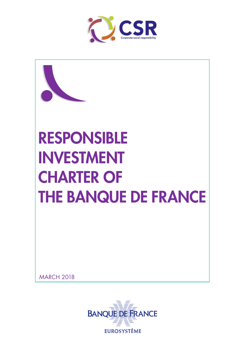



**MARCH 2018** 

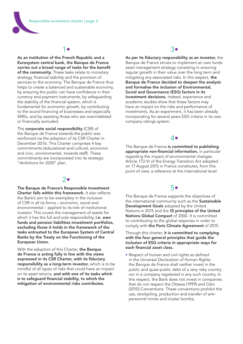# 1•

As an institution of the French Republic and a Eurosystem central bank, the Banque de France carries out a broad range of tasks for the benefit of the community. These tasks relate to monetary strategy, financial stability and the provision of services to the economy. The Banque de France thus helps to create a balanced and sustainable economy, by ensuring the public can have confidence in their currency and payment instruments, by safeguarding the stability of the financial system, which is fundamental for economic growth, by contributing to the sound financing of businesses and especially SMEs, and by assisting those who are overindebted or financially excluded.

The corporate social responsibility (CSR) of the Banque de France towards the public was reinforced via the adoption of its CSR Charter in December 2016. This Charter comprises 4 key commitments (educational and cultural, economic and civic, environmental, towards staff). These commitments are incorporated into its strategic "*Ambitions for 2020*" plan.

### 2•

The Banque de France's Responsible Investment Charter falls within this framework. It also reflects the Bank's aim to be exemplary in the inclusion of CSR in all its forms – economic, social and environmental – applied to its role of institutional investor. This covers the management of assets for which it has the full and sole responsibility, i.e. own funds and pension liabilities investment portfolios, excluding those it holds in the framework of the tasks entrusted to the European System of Central Banks by the Treaty on the Functioning of the European Union.

With the adoption of this Charter, the Banque de France is acting fully in line with the views expressed in its CSR Charter, with its fiduciary responsibility as a long-term investor, which is to be mindful of all types of risks that could have an impact on its asset returns, and with one of its tasks which is to safeguard financial stability, to which the mitigation of environmental risks contributes.

## 3•

As per its fiduciary responsibility as an investor, the Banque de France strives to implement an own funds asset management strategy consisting in ensuring regular growth in their value over the long term and mitigating any associated risks. In this respect, the Banque de France decided to deepen the analysis and formalise the inclusion of Environmental, Social and Governance (ESG) factors in its investment decisions. Indeed, experience and academic studies show that these factors may have an impact on the risks and performance of investments. As an experiment, it has been already incorporating for several years ESG criteria in its own company ratings system.

### 4•

The Banque de France is committed to publishing appropriate non-financial information, in particular regarding the impact of environmental changes. Article 173-VI of the Energy Transition Act adopted on 17 August 2015 in France constitutes, from this point of view, a reference at the international level.

## 5•

The Banque de France supports the objectives of the international community such as the Sustainable Development Goals adopted by the United Nations in 2015 and the 10 principles of the United Nations Global Compact of 2000. It is committed to contributing to the global response in order to comply with the Paris Climate Agreement of 2015.

Through this charter, it is committed to complying with the four general principles that guide the inclusion of ESG criteria in appropriate ways for each financial asset class.

• *Respect of human and civil rights as defined in the Universal Declaration of Human Rights:* the Banque de France shall neither invest in the public and quasi-public debt of a very risky country nor in a company registered in any such country. In this respect, the Bank does not invest in companies that do not respect the Ottawa (1999) and Oslo (2010) Conventions. These conventions prohibit the use, stockpiling, production and transfer of antipersonnel mines and cluster bombs;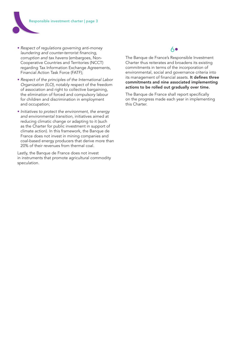

- *Respect of regulations governing anti-money laundering and counter-terrorist financing, corruption and tax havens* (embargoes, Non-Cooperative Countries and Territories (NCCT) regarding Tax Information Exchange Agreements, Financial Action Task Force (FATF);
- *Respect of the principles of the International Labor Organization (ILO)*, notably respect of the freedom of association and right to collective bargaining, the elimination of forced and compulsory labour for children and discrimination in employment and occupation;
- *Initiatives to protect the environment, the energy and environmental transition,* initiatives aimed at reducing climatic change or adapting to it (such as the Charter for public investment in support of climate action). In this framework, the Banque de France does not invest in mining companies and coal-based energy producers that derive more than 20% of their revenues from thermal coal.

Lastly, the Banque de France does not invest in instruments that promote agricultural commodity speculation.

# 6•

The Banque de France's Responsible Investment Charter thus reiterates and broadens its existing commitments in terms of the incorporation of environmental, social and governance criteria into its management of financial assets. It defines three commitments and nine associated implementing actions to be rolled out gradually over time.

The Banque de France shall report specifically on the progress made each year in implementing this Charter.